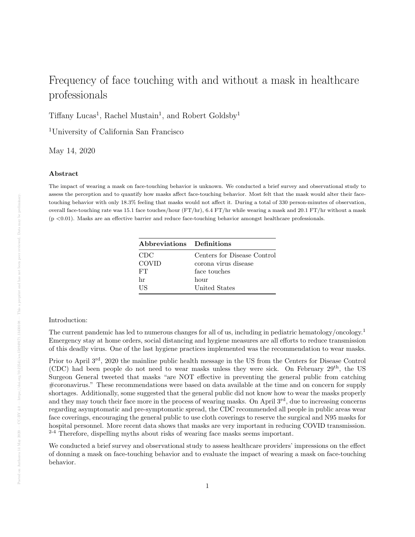# Frequency of face touching with and without a mask in healthcare professionals

Tiffany Lucas<sup>1</sup>, Rachel Mustain<sup>1</sup>, and Robert Goldsby<sup>1</sup>

<sup>1</sup>University of California San Francisco

May 14, 2020

## Abstract

The impact of wearing a mask on face-touching behavior is unknown. We conducted a brief survey and observational study to assess the perception and to quantify how masks affect face-touching behavior. Most felt that the mask would alter their facetouching behavior with only 18.3% feeling that masks would not affect it. During a total of 330 person-minutes of observation, overall face-touching rate was 15.1 face touches/hour (FT/hr), 6.4 FT/hr while wearing a mask and 20.1 FT/hr without a mask  $(p \lt 0.01)$ . Masks are an effective barrier and reduce face-touching behavior amongst healthcare professionals.

| Abbreviations Definitions |                             |
|---------------------------|-----------------------------|
| CDC                       | Centers for Disease Control |
| <b>COVID</b>              | corona virus disease        |
| <b>FT</b>                 | face touches                |
| hr                        | hour                        |
| НS                        | United States               |

## Introduction:

The current pandemic has led to numerous changes for all of us, including in pediatric hematology/oncology.<sup>1</sup> Emergency stay at home orders, social distancing and hygiene measures are all efforts to reduce transmission of this deadly virus. One of the last hygiene practices implemented was the recommendation to wear masks.

Prior to April 3rd, 2020 the mainline public health message in the US from the Centers for Disease Control (CDC) had been people do not need to wear masks unless they were sick. On February  $29^{th}$ , the US Surgeon General tweeted that masks "are NOT effective in preventing the general public from catching #coronavirus." These recommendations were based on data available at the time and on concern for supply shortages. Additionally, some suggested that the general public did not know how to wear the masks properly and they may touch their face more in the process of wearing masks. On April  $3<sup>rd</sup>$ , due to increasing concerns regarding asymptomatic and pre-symptomatic spread, the CDC recommended all people in public areas wear face coverings, encouraging the general public to use cloth coverings to reserve the surgical and N95 masks for hospital personnel. More recent data shows that masks are very important in reducing COVID transmission.  $2-4$  Therefore, dispelling myths about risks of wearing face masks seems important.

We conducted a brief survey and observational study to assess healthcare providers' impressions on the effect of donning a mask on face-touching behavior and to evaluate the impact of wearing a mask on face-touching behavior.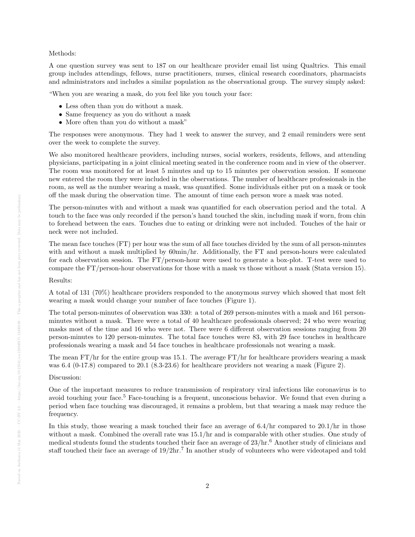### Methods:

A one question survey was sent to 187 on our healthcare provider email list using Qualtrics. This email group includes attendings, fellows, nurse practitioners, nurses, clinical research coordinators, pharmacists and administrators and includes a similar population as the observational group. The survey simply asked:

"When you are wearing a mask, do you feel like you touch your face:

- Less often than you do without a mask.
- Same frequency as you do without a mask
- More often than you do without a mask"

The responses were anonymous. They had 1 week to answer the survey, and 2 email reminders were sent over the week to complete the survey.

We also monitored healthcare providers, including nurses, social workers, residents, fellows, and attending physicians, participating in a joint clinical meeting seated in the conference room and in view of the observer. The room was monitored for at least 5 minutes and up to 15 minutes per observation session. If someone new entered the room they were included in the observations. The number of healthcare professionals in the room, as well as the number wearing a mask, was quantified. Some individuals either put on a mask or took off the mask during the observation time. The amount of time each person wore a mask was noted.

The person-minutes with and without a mask was quantified for each observation period and the total. A touch to the face was only recorded if the person's hand touched the skin, including mask if worn, from chin to forehead between the ears. Touches due to eating or drinking were not included. Touches of the hair or neck were not included.

The mean face touches (FT) per hour was the sum of all face touches divided by the sum of all person-minutes with and without a mask multiplied by  $60\text{min/hr}$ . Additionally, the FT and person-hours were calculated for each observation session. The FT/person-hour were used to generate a box-plot. T-test were used to compare the FT/person-hour observations for those with a mask vs those without a mask (Stata version 15).

#### Results:

A total of 131 (70%) healthcare providers responded to the anonymous survey which showed that most felt wearing a mask would change your number of face touches (Figure 1).

The total person-minutes of observation was 330: a total of 269 person-minutes with a mask and 161 personminutes without a mask. There were a total of 40 healthcare professionals observed; 24 who were wearing masks most of the time and 16 who were not. There were 6 different observation sessions ranging from 20 person-minutes to 120 person-minutes. The total face touches were 83, with 29 face touches in healthcare professionals wearing a mask and 54 face touches in healthcare professionals not wearing a mask.

The mean  $FT/hr$  for the entire group was 15.1. The average  $FT/hr$  for healthcare providers wearing a mask was 6.4 (0-17.8) compared to 20.1 (8.3-23.6) for healthcare providers not wearing a mask (Figure 2).

Discussion:

One of the important measures to reduce transmission of respiratory viral infections like coronavirus is to avoid touching your face.<sup>5</sup> Face-touching is a frequent, unconscious behavior. We found that even during a period when face touching was discouraged, it remains a problem, but that wearing a mask may reduce the frequency.

In this study, those wearing a mask touched their face an average of 6.4/hr compared to 20.1/hr in those without a mask. Combined the overall rate was 15.1/hr and is comparable with other studies. One study of medical students found the students touched their face an average of  $23/hr<sup>6</sup>$  Another study of clinicians and staff touched their face an average of  $19/2\text{hr}$ .<sup>7</sup> In another study of volunteers who were videotaped and told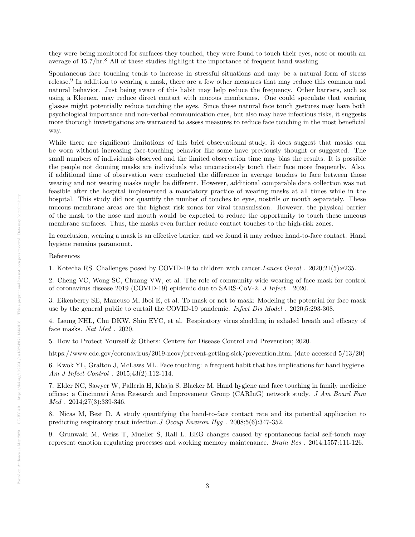they were being monitored for surfaces they touched, they were found to touch their eyes, nose or mouth an average of 15.7/hr.<sup>8</sup> All of these studies highlight the importance of frequent hand washing.

Spontaneous face touching tends to increase in stressful situations and may be a natural form of stress release.<sup>9</sup> In addition to wearing a mask, there are a few other measures that may reduce this common and natural behavior. Just being aware of this habit may help reduce the frequency. Other barriers, such as using a Kleenex, may reduce direct contact with mucous membranes. One could speculate that wearing glasses might potentially reduce touching the eyes. Since these natural face touch gestures may have both psychological importance and non-verbal communication cues, but also may have infectious risks, it suggests more thorough investigations are warranted to assess measures to reduce face touching in the most beneficial way.

While there are significant limitations of this brief observational study, it does suggest that masks can be worn without increasing face-touching behavior like some have previously thought or suggested. The small numbers of individuals observed and the limited observation time may bias the results. It is possible the people not donning masks are individuals who unconsciously touch their face more frequently. Also, if additional time of observation were conducted the difference in average touches to face between those wearing and not wearing masks might be different. However, additional comparable data collection was not feasible after the hospital implemented a mandatory practice of wearing masks at all times while in the hospital. This study did not quantify the number of touches to eyes, nostrils or mouth separately. These mucous membrane areas are the highest risk zones for viral transmission. However, the physical barrier of the mask to the nose and mouth would be expected to reduce the opportunity to touch these mucous membrane surfaces. Thus, the masks even further reduce contact touches to the high-risk zones.

In conclusion, wearing a mask is an effective barrier, and we found it may reduce hand-to-face contact. Hand hygiene remains paramount.

## References

1. Kotecha RS. Challenges posed by COVID-19 to children with cancer.Lancet Oncol . 2020;21(5):e235.

2. Cheng VC, Wong SC, Chuang VW, et al. The role of community-wide wearing of face mask for control of coronavirus disease 2019 (COVID-19) epidemic due to SARS-CoV-2. J Infect . 2020.

3. Eikenberry SE, Mancuso M, Iboi E, et al. To mask or not to mask: Modeling the potential for face mask use by the general public to curtail the COVID-19 pandemic. Infect Dis Model . 2020;5:293-308.

4. Leung NHL, Chu DKW, Shiu EYC, et al. Respiratory virus shedding in exhaled breath and efficacy of face masks. Nat Med . 2020.

5. How to Protect Yourself & Others: Centers for Disease Control and Prevention; 2020.

https://www.cdc.gov/coronavirus/2019-ncov/prevent-getting-sick/prevention.html (date accessed 5/13/20)

6. Kwok YL, Gralton J, McLaws ML. Face touching: a frequent habit that has implications for hand hygiene. Am J Infect Control . 2015;43(2):112-114.

7. Elder NC, Sawyer W, Pallerla H, Khaja S, Blacker M. Hand hygiene and face touching in family medicine offices: a Cincinnati Area Research and Improvement Group (CARInG) network study. J Am Board Fam  $Med$ . 2014;27(3):339-346.

8. Nicas M, Best D. A study quantifying the hand-to-face contact rate and its potential application to predicting respiratory tract infection.J Occup Environ Hyg . 2008;5(6):347-352.

9. Grunwald M, Weiss T, Mueller S, Rall L. EEG changes caused by spontaneous facial self-touch may represent emotion regulating processes and working memory maintenance. Brain Res . 2014;1557:111-126.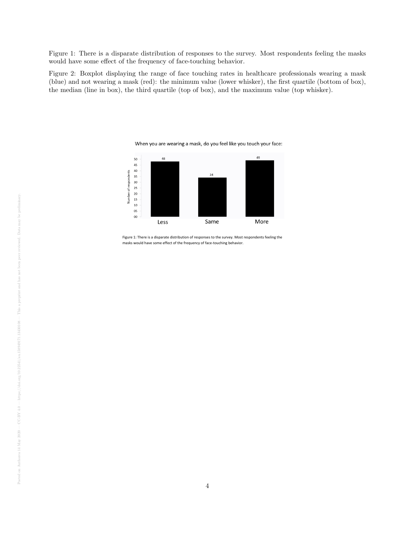Figure 1: There is a disparate distribution of responses to the survey. Most respondents feeling the masks would have some effect of the frequency of face-touching behavior.

Figure 2: Boxplot displaying the range of face touching rates in healthcare professionals wearing a mask (blue) and not wearing a mask (red): the minimum value (lower whisker), the first quartile (bottom of box), the median (line in box), the third quartile (top of box), and the maximum value (top whisker).

When you are wearing a mask, do you feel like you touch your face:



Figure 1: There is a disparate distribution of responses to the survey. Most respondents feeling the masks would have some effect of the frequency of face-touching behavior.